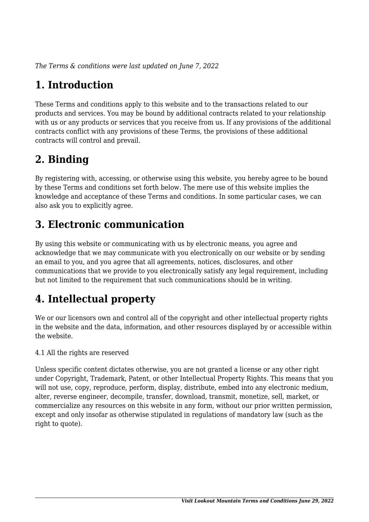*The Terms & conditions were last updated on June 7, 2022*

# **1. Introduction**

These Terms and conditions apply to this website and to the transactions related to our products and services. You may be bound by additional contracts related to your relationship with us or any products or services that you receive from us. If any provisions of the additional contracts conflict with any provisions of these Terms, the provisions of these additional contracts will control and prevail.

### **2. Binding**

By registering with, accessing, or otherwise using this website, you hereby agree to be bound by these Terms and conditions set forth below. The mere use of this website implies the knowledge and acceptance of these Terms and conditions. In some particular cases, we can also ask you to explicitly agree.

### **3. Electronic communication**

By using this website or communicating with us by electronic means, you agree and acknowledge that we may communicate with you electronically on our website or by sending an email to you, and you agree that all agreements, notices, disclosures, and other communications that we provide to you electronically satisfy any legal requirement, including but not limited to the requirement that such communications should be in writing.

# **4. Intellectual property**

We or our licensors own and control all of the copyright and other intellectual property rights in the website and the data, information, and other resources displayed by or accessible within the website.

4.1 All the rights are reserved

Unless specific content dictates otherwise, you are not granted a license or any other right under Copyright, Trademark, Patent, or other Intellectual Property Rights. This means that you will not use, copy, reproduce, perform, display, distribute, embed into any electronic medium, alter, reverse engineer, decompile, transfer, download, transmit, monetize, sell, market, or commercialize any resources on this website in any form, without our prior written permission, except and only insofar as otherwise stipulated in regulations of mandatory law (such as the right to quote).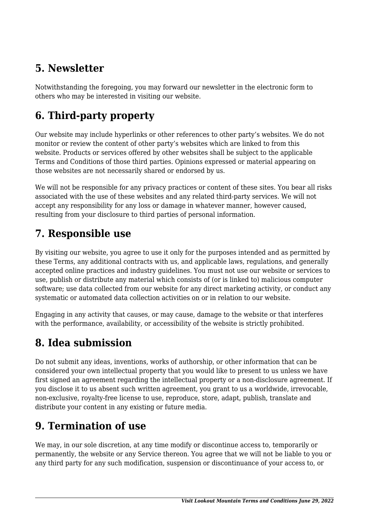### **5. Newsletter**

Notwithstanding the foregoing, you may forward our newsletter in the electronic form to others who may be interested in visiting our website.

# **6. Third-party property**

Our website may include hyperlinks or other references to other party's websites. We do not monitor or review the content of other party's websites which are linked to from this website. Products or services offered by other websites shall be subject to the applicable Terms and Conditions of those third parties. Opinions expressed or material appearing on those websites are not necessarily shared or endorsed by us.

We will not be responsible for any privacy practices or content of these sites. You bear all risks associated with the use of these websites and any related third-party services. We will not accept any responsibility for any loss or damage in whatever manner, however caused, resulting from your disclosure to third parties of personal information.

#### **7. Responsible use**

By visiting our website, you agree to use it only for the purposes intended and as permitted by these Terms, any additional contracts with us, and applicable laws, regulations, and generally accepted online practices and industry guidelines. You must not use our website or services to use, publish or distribute any material which consists of (or is linked to) malicious computer software; use data collected from our website for any direct marketing activity, or conduct any systematic or automated data collection activities on or in relation to our website.

Engaging in any activity that causes, or may cause, damage to the website or that interferes with the performance, availability, or accessibility of the website is strictly prohibited.

### **8. Idea submission**

Do not submit any ideas, inventions, works of authorship, or other information that can be considered your own intellectual property that you would like to present to us unless we have first signed an agreement regarding the intellectual property or a non-disclosure agreement. If you disclose it to us absent such written agreement, you grant to us a worldwide, irrevocable, non-exclusive, royalty-free license to use, reproduce, store, adapt, publish, translate and distribute your content in any existing or future media.

### **9. Termination of use**

We may, in our sole discretion, at any time modify or discontinue access to, temporarily or permanently, the website or any Service thereon. You agree that we will not be liable to you or any third party for any such modification, suspension or discontinuance of your access to, or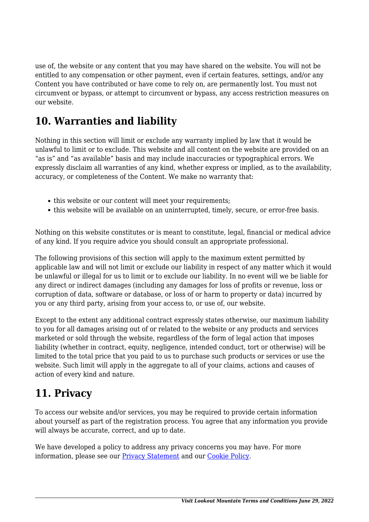use of, the website or any content that you may have shared on the website. You will not be entitled to any compensation or other payment, even if certain features, settings, and/or any Content you have contributed or have come to rely on, are permanently lost. You must not circumvent or bypass, or attempt to circumvent or bypass, any access restriction measures on our website.

### **10. Warranties and liability**

Nothing in this section will limit or exclude any warranty implied by law that it would be unlawful to limit or to exclude. This website and all content on the website are provided on an "as is" and "as available" basis and may include inaccuracies or typographical errors. We expressly disclaim all warranties of any kind, whether express or implied, as to the availability, accuracy, or completeness of the Content. We make no warranty that:

- this website or our content will meet your requirements;
- this website will be available on an uninterrupted, timely, secure, or error-free basis.

Nothing on this website constitutes or is meant to constitute, legal, financial or medical advice of any kind. If you require advice you should consult an appropriate professional.

The following provisions of this section will apply to the maximum extent permitted by applicable law and will not limit or exclude our liability in respect of any matter which it would be unlawful or illegal for us to limit or to exclude our liability. In no event will we be liable for any direct or indirect damages (including any damages for loss of profits or revenue, loss or corruption of data, software or database, or loss of or harm to property or data) incurred by you or any third party, arising from your access to, or use of, our website.

Except to the extent any additional contract expressly states otherwise, our maximum liability to you for all damages arising out of or related to the website or any products and services marketed or sold through the website, regardless of the form of legal action that imposes liability (whether in contract, equity, negligence, intended conduct, tort or otherwise) will be limited to the total price that you paid to us to purchase such products or services or use the website. Such limit will apply in the aggregate to all of your claims, actions and causes of action of every kind and nature.

#### **11. Privacy**

To access our website and/or services, you may be required to provide certain information about yourself as part of the registration process. You agree that any information you provide will always be accurate, correct, and up to date.

We have developed a policy to address any privacy concerns you may have. For more information, please see our **Privacy Statement** and our **[Cookie Policy](https://visitlookoutmountain.com/cookie-policy-us/?cmplz_region_redirect=true)**.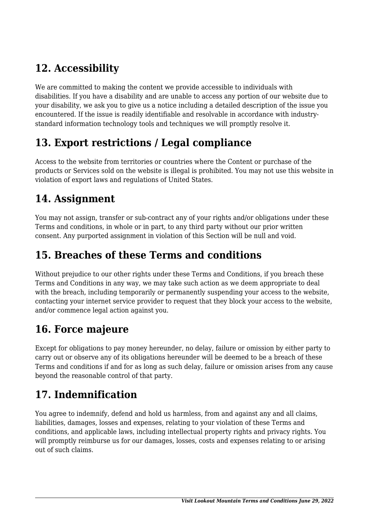# **12. Accessibility**

We are committed to making the content we provide accessible to individuals with disabilities. If you have a disability and are unable to access any portion of our website due to your disability, we ask you to give us a notice including a detailed description of the issue you encountered. If the issue is readily identifiable and resolvable in accordance with industrystandard information technology tools and techniques we will promptly resolve it.

### **13. Export restrictions / Legal compliance**

Access to the website from territories or countries where the Content or purchase of the products or Services sold on the website is illegal is prohibited. You may not use this website in violation of export laws and regulations of United States.

#### **14. Assignment**

You may not assign, transfer or sub-contract any of your rights and/or obligations under these Terms and conditions, in whole or in part, to any third party without our prior written consent. Any purported assignment in violation of this Section will be null and void.

#### **15. Breaches of these Terms and conditions**

Without prejudice to our other rights under these Terms and Conditions, if you breach these Terms and Conditions in any way, we may take such action as we deem appropriate to deal with the breach, including temporarily or permanently suspending your access to the website, contacting your internet service provider to request that they block your access to the website, and/or commence legal action against you.

### **16. Force majeure**

Except for obligations to pay money hereunder, no delay, failure or omission by either party to carry out or observe any of its obligations hereunder will be deemed to be a breach of these Terms and conditions if and for as long as such delay, failure or omission arises from any cause beyond the reasonable control of that party.

### **17. Indemnification**

You agree to indemnify, defend and hold us harmless, from and against any and all claims, liabilities, damages, losses and expenses, relating to your violation of these Terms and conditions, and applicable laws, including intellectual property rights and privacy rights. You will promptly reimburse us for our damages, losses, costs and expenses relating to or arising out of such claims.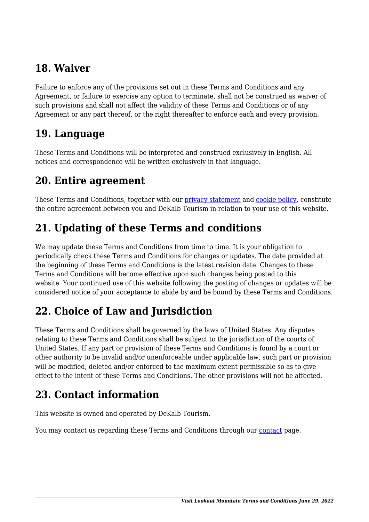#### **18. Waiver**

Failure to enforce any of the provisions set out in these Terms and Conditions and any Agreement, or failure to exercise any option to terminate, shall not be construed as waiver of such provisions and shall not affect the validity of these Terms and Conditions or of any Agreement or any part thereof, or the right thereafter to enforce each and every provision.

#### **19. Language**

These Terms and Conditions will be interpreted and construed exclusively in English. All notices and correspondence will be written exclusively in that language.

#### **20. Entire agreement**

These Terms and Conditions, together with our [privacy statement](https://visitlookoutmountain.com/privacy-statement-us/?cmplz_region_redirect=true) and [cookie policy,](https://visitlookoutmountain.com/cookie-policy-us/?cmplz_region_redirect=true) constitute the entire agreement between you and DeKalb Tourism in relation to your use of this website.

### **21. Updating of these Terms and conditions**

We may update these Terms and Conditions from time to time. It is your obligation to periodically check these Terms and Conditions for changes or updates. The date provided at the beginning of these Terms and Conditions is the latest revision date. Changes to these Terms and Conditions will become effective upon such changes being posted to this website. Your continued use of this website following the posting of changes or updates will be considered notice of your acceptance to abide by and be bound by these Terms and Conditions.

### **22. Choice of Law and Jurisdiction**

These Terms and Conditions shall be governed by the laws of United States. Any disputes relating to these Terms and Conditions shall be subject to the jurisdiction of the courts of United States. If any part or provision of these Terms and Conditions is found by a court or other authority to be invalid and/or unenforceable under applicable law, such part or provision will be modified, deleted and/or enforced to the maximum extent permissible so as to give effect to the intent of these Terms and Conditions. The other provisions will not be affected.

#### **23. Contact information**

This website is owned and operated by DeKalb Tourism.

You may [contact](https://visitlookoutmountain.com/contact/) us regarding these Terms and Conditions through our contact page.